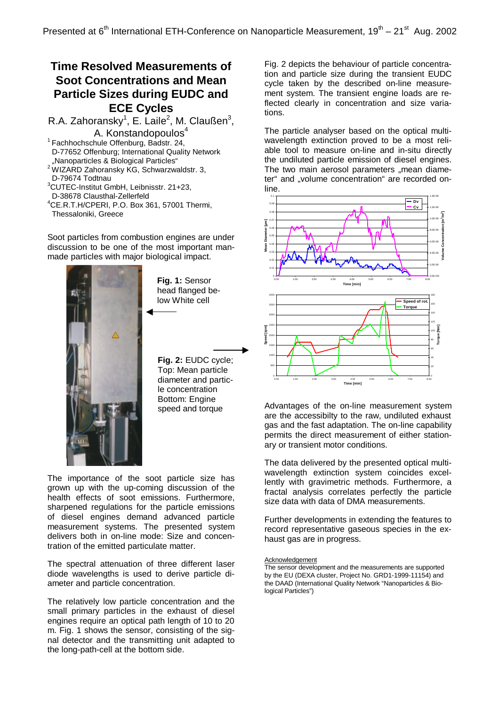## **Time Resolved Measurements of Soot Concentrations and Mean Particle Sizes during EUDC and ECE Cycles**

R.A. Zahoransky<sup>1</sup>, E. Laile<sup>2</sup>, M. Claußen<sup>3</sup>,

A. Konstandopoulos<sup>4</sup> <sup>1</sup> Fachhochschule Offenburg, Badstr. 24, D-77652 Offenburg; International Quality Network "Nanoparticles & Biological Particles"

- <sup>2</sup> WIZARD Zahoransky KG, Schwarzwaldstr. 3, D-79674 Todtnau
- <sup>3</sup>CUTEC-Institut GmbH, Leibnisstr. 21+23,
- D-38678 Clausthal-Zellerfeld
- <sup>4</sup>CE.R.T.H/CPERI, P.O. Box 361, 57001 Thermi, Thessaloniki, Greece

Soot particles from combustion engines are under discussion to be one of the most important manmade particles with major biological impact.



**Fig. 1:** Sensor head flanged below White cell

**Fig. 2:** EUDC cycle; Top: Mean particle diameter and particle concentration Bottom: Engine speed and torque

The importance of the soot particle size has grown up with the up-coming discussion of the health effects of soot emissions. Furthermore, sharpened regulations for the particle emissions of diesel engines demand advanced particle measurement systems. The presented system delivers both in on-line mode: Size and concentration of the emitted particulate matter.

The spectral attenuation of three different laser diode wavelengths is used to derive particle diameter and particle concentration.

The relatively low particle concentration and the small primary particles in the exhaust of diesel engines require an optical path length of 10 to 20 m. Fig. 1 shows the sensor, consisting of the signal detector and the transmitting unit adapted to the long-path-cell at the bottom side.

Fig. 2 depicts the behaviour of particle concentration and particle size during the transient EUDC cycle taken by the described on-line measurement system. The transient engine loads are reflected clearly in concentration and size variations.

The particle analyser based on the optical multiwavelength extinction proved to be a most reliable tool to measure on-line and in-situ directly the undiluted particle emission of diesel engines. The two main aerosol parameters "mean diameter" and "volume concentration" are recorded online.



Advantages of the on-line measurement system are the accessibilty to the raw, undiluted exhaust gas and the fast adaptation. The on-line capability permits the direct measurement of either stationary or transient motor conditions.

The data delivered by the presented optical multiwavelength extinction system coincides excellently with gravimetric methods. Furthermore, a fractal analysis correlates perfectly the particle size data with data of DMA measurements.

Further developments in extending the features to record representative gaseous species in the exhaust gas are in progress.

**Acknowledgement** 

The sensor development and the measurements are supported by the EU (DEXA cluster, Project No. GRD1-1999-11154) and the DAAD (International Quality Network "Nanoparticles & Biological Particles")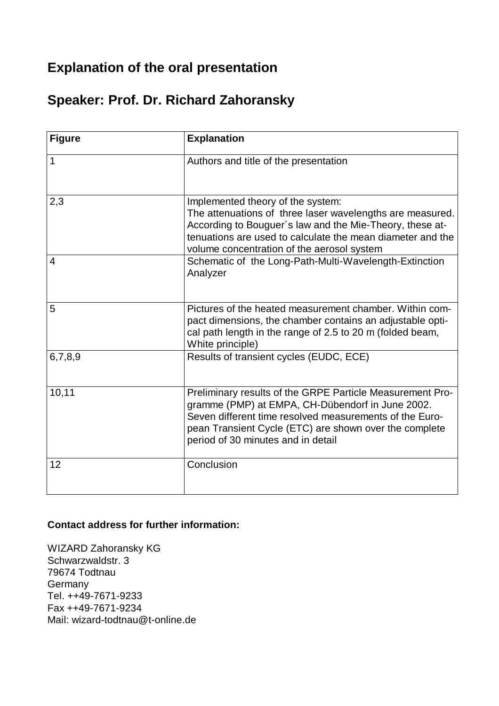## **Explanation of the oral presentation**

## **Speaker: Prof. Dr. Richard Zahoransky**

| <b>Figure</b>  | <b>Explanation</b>                                                                                                                                                                                                                                                       |
|----------------|--------------------------------------------------------------------------------------------------------------------------------------------------------------------------------------------------------------------------------------------------------------------------|
| $\mathbf{1}$   | Authors and title of the presentation                                                                                                                                                                                                                                    |
| 2,3            | Implemented theory of the system:<br>The attenuations of three laser wavelengths are measured.<br>According to Bouguer's law and the Mie-Theory, these at-<br>tenuations are used to calculate the mean diameter and the<br>volume concentration of the aerosol system   |
| $\overline{4}$ | Schematic of the Long-Path-Multi-Wavelength-Extinction<br>Analyzer                                                                                                                                                                                                       |
| 5              | Pictures of the heated measurement chamber. Within com-<br>pact dimensions, the chamber contains an adjustable opti-<br>cal path length in the range of 2.5 to 20 m (folded beam,<br>White principle)                                                                    |
| 6,7,8,9        | Results of transient cycles (EUDC, ECE)                                                                                                                                                                                                                                  |
| 10,11          | Preliminary results of the GRPE Particle Measurement Pro-<br>gramme (PMP) at EMPA, CH-Dübendorf in June 2002.<br>Seven different time resolved measurements of the Euro-<br>pean Transient Cycle (ETC) are shown over the complete<br>period of 30 minutes and in detail |
| 12             | Conclusion                                                                                                                                                                                                                                                               |

## **Contact address for further information:**

WIZARD Zahoransky KG Schwarzwaldstr. 3 79674 Todtnau **Germany** Tel. ++49-7671-9233 Fax ++49-7671-9234 Mail: wizard-todtnau@t-online.de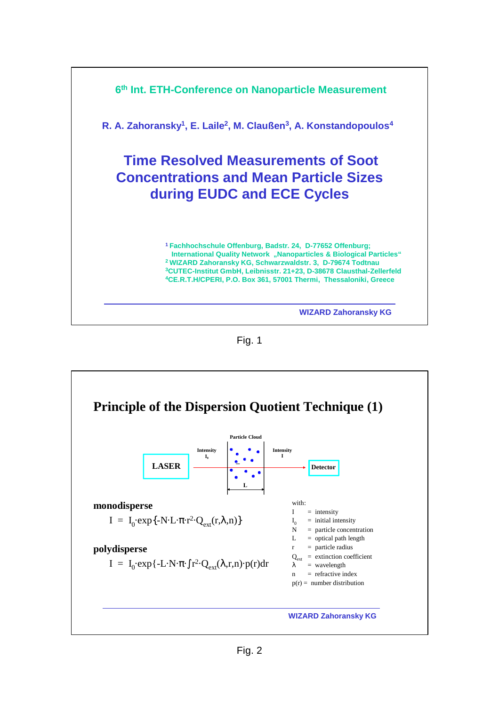

Fig. 1

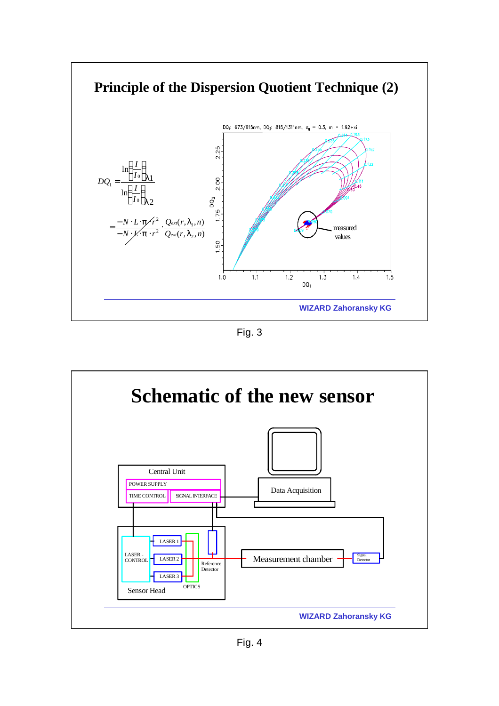

Fig. 3

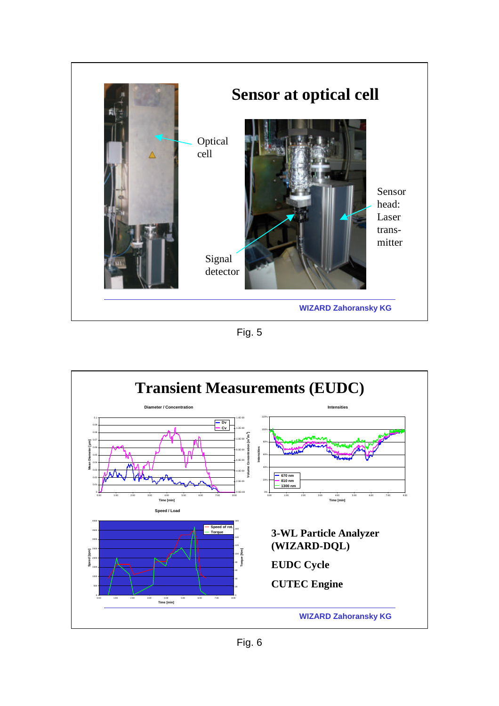

Fig. 5

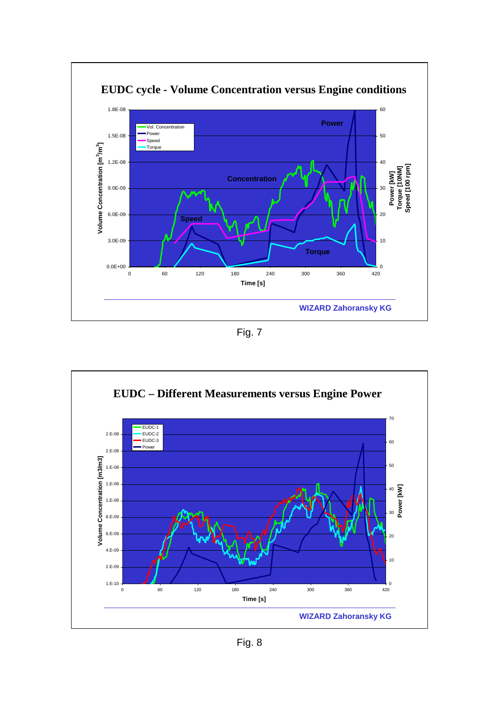

Fig. 7

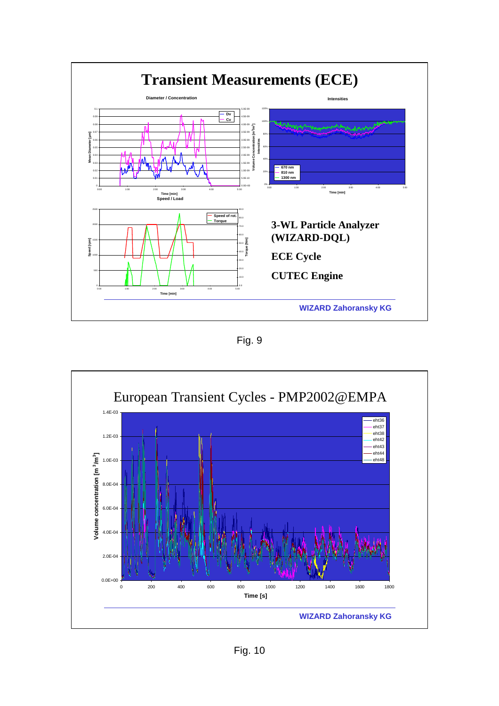

Fig. 9